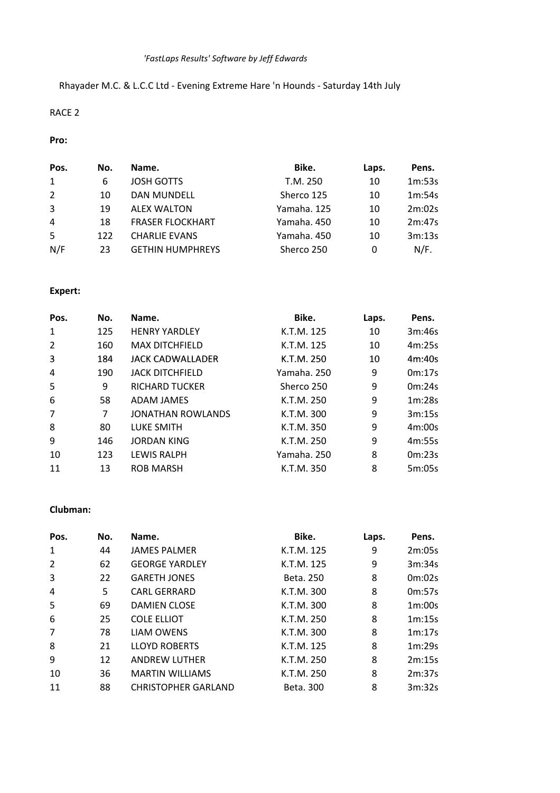# *'FastLaps Results' Software by Jeff Edwards*

# Rhayader M.C. & L.C.C Ltd - Evening Extreme Hare 'n Hounds - Saturday 14th July

### RACE 2

### **Pro:**

| Pos. | No. | Name.                   | Bike.       | Laps. | Pens.  |
|------|-----|-------------------------|-------------|-------|--------|
| 1    | 6   | <b>JOSH GOTTS</b>       | T.M. 250    | 10    | 1m:53s |
| 2    | 10  | <b>DAN MUNDELL</b>      | Sherco 125  | 10    | 1m:54s |
| 3    | 19  | <b>ALEX WALTON</b>      | Yamaha, 125 | 10    | 2m:02s |
| 4    | 18  | <b>FRASER FLOCKHART</b> | Yamaha, 450 | 10    | 2m:47s |
| -5   | 122 | <b>CHARLIE EVANS</b>    | Yamaha, 450 | 10    | 3m:13s |
| N/F  | 23  | <b>GETHIN HUMPHREYS</b> | Sherco 250  | 0     | N/F.   |

# **Expert:**

| Pos.           | No. | Name.                    | Bike.       | Laps. | Pens.  |
|----------------|-----|--------------------------|-------------|-------|--------|
| 1              | 125 | <b>HENRY YARDLEY</b>     | K.T.M. 125  | 10    | 3m:46s |
| $\overline{2}$ | 160 | <b>MAX DITCHFIELD</b>    | K.T.M. 125  | 10    | 4m:25s |
| 3              | 184 | JACK CADWALLADER         | K.T.M. 250  | 10    | 4m:40s |
| 4              | 190 | <b>JACK DITCHFIELD</b>   | Yamaha. 250 | 9     | 0m:17s |
| 5              | 9   | <b>RICHARD TUCKER</b>    | Sherco 250  | 9     | 0m:24s |
| 6              | 58  | ADAM JAMES               | K.T.M. 250  | 9     | 1m:28s |
| 7              | 7   | <b>JONATHAN ROWLANDS</b> | K.T.M. 300  | 9     | 3m:15s |
| 8              | 80  | LUKE SMITH               | K.T.M. 350  | 9     | 4m:00s |
| 9              | 146 | <b>JORDAN KING</b>       | K.T.M. 250  | 9     | 4m:55s |
| 10             | 123 | <b>LEWIS RALPH</b>       | Yamaha. 250 | 8     | 0m:23s |
| 11             | 13  | <b>ROB MARSH</b>         | K.T.M. 350  | 8     | 5m:05s |

#### **Clubman:**

| Pos.           | No. | Name.                      | Bike.      | Laps. | Pens.  |
|----------------|-----|----------------------------|------------|-------|--------|
| 1              | 44  | <b>JAMES PALMER</b>        | K.T.M. 125 | 9     | 2m:05s |
| $\overline{2}$ | 62  | <b>GEORGE YARDLEY</b>      | K.T.M. 125 | 9     | 3m:34s |
| 3              | 22  | <b>GARETH JONES</b>        | Beta, 250  | 8     | 0m:02s |
| 4              | 5   | <b>CARL GERRARD</b>        | K.T.M. 300 | 8     | 0m:57s |
| 5              | 69  | <b>DAMIEN CLOSE</b>        | K.T.M. 300 | 8     | 1m:00s |
| 6              | 25  | <b>COLE ELLIOT</b>         | K.T.M. 250 | 8     | 1m:15s |
| $\overline{7}$ | 78  | <b>LIAM OWENS</b>          | K.T.M. 300 | 8     | 1m:17s |
| 8              | 21  | <b>LLOYD ROBERTS</b>       | K.T.M. 125 | 8     | 1m:29s |
| 9              | 12  | <b>ANDREW LUTHER</b>       | K.T.M. 250 | 8     | 2m:15s |
| 10             | 36  | <b>MARTIN WILLIAMS</b>     | K.T.M. 250 | 8     | 2m:37s |
| 11             | 88  | <b>CHRISTOPHER GARLAND</b> | Beta. 300  | 8     | 3m:32s |